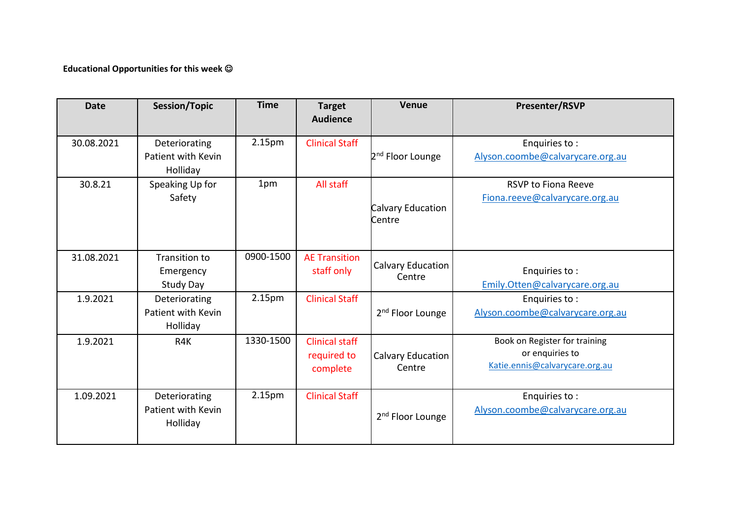## **Educational Opportunities for this week**

| <b>Date</b> | Session/Topic                                   | <b>Time</b> | <b>Target</b><br><b>Audience</b>                 | Venue                              | Presenter/RSVP                                                                     |
|-------------|-------------------------------------------------|-------------|--------------------------------------------------|------------------------------------|------------------------------------------------------------------------------------|
| 30.08.2021  | Deteriorating<br>Patient with Kevin<br>Holliday | 2.15pm      | <b>Clinical Staff</b>                            | 2 <sup>nd</sup> Floor Lounge       | Enquiries to:<br>Alyson.coombe@calvarycare.org.au                                  |
| 30.8.21     | Speaking Up for<br>Safety                       | 1pm         | All staff                                        | Calvary Education<br>Centre        | <b>RSVP to Fiona Reeve</b><br>Fiona.reeve@calvarycare.org.au                       |
| 31.08.2021  | Transition to<br>Emergency<br>Study Day         | 0900-1500   | <b>AE Transition</b><br>staff only               | Calvary Education<br>Centre        | Enquiries to:<br>Emily.Otten@calvarycare.org.au                                    |
| 1.9.2021    | Deteriorating<br>Patient with Kevin<br>Holliday | 2.15pm      | <b>Clinical Staff</b>                            | 2 <sup>nd</sup> Floor Lounge       | Enquiries to:<br>Alyson.coombe@calvarycare.org.au                                  |
| 1.9.2021    | R4K                                             | 1330-1500   | <b>Clinical staff</b><br>required to<br>complete | <b>Calvary Education</b><br>Centre | Book on Register for training<br>or enquiries to<br>Katie.ennis@calvarycare.org.au |
| 1.09.2021   | Deteriorating<br>Patient with Kevin<br>Holliday | 2.15pm      | <b>Clinical Staff</b>                            | 2 <sup>nd</sup> Floor Lounge       | Enquiries to:<br>Alyson.coombe@calvarycare.org.au                                  |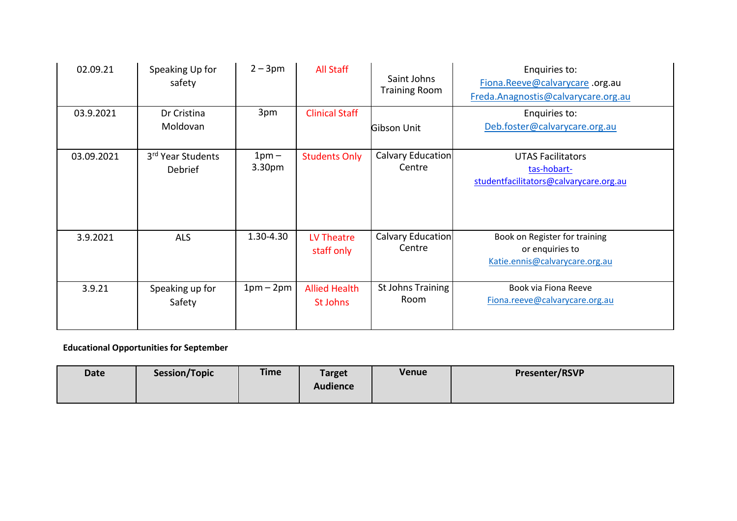| 02.09.21   | Speaking Up for<br>safety    | $2 - 3pm$         | All Staff                        | Saint Johns<br><b>Training Room</b> | Enquiries to:<br>Fiona.Reeve@calvarycare.org.au<br>Freda.Anagnostis@calvarycare.org.au |
|------------|------------------------------|-------------------|----------------------------------|-------------------------------------|----------------------------------------------------------------------------------------|
| 03.9.2021  | Dr Cristina<br>Moldovan      | 3pm               | <b>Clinical Staff</b>            | Gibson Unit                         | Enquiries to:<br>Deb.foster@calvarycare.org.au                                         |
| 03.09.2021 | 3rd Year Students<br>Debrief | $1pm -$<br>3.30pm | <b>Students Only</b>             | Calvary Education<br>Centre         | <b>UTAS Facilitators</b><br>tas-hobart-<br>studentfacilitators@calvarycare.org.au      |
| 3.9.2021   | <b>ALS</b>                   | 1.30-4.30         | LV Theatre<br>staff only         | Calvary Education<br>Centre         | Book on Register for training<br>or enquiries to<br>Katie.ennis@calvarycare.org.au     |
| 3.9.21     | Speaking up for<br>Safety    | $1pm-2pm$         | <b>Allied Health</b><br>St Johns | <b>St Johns Training</b><br>Room    | Book via Fiona Reeve<br>Fiona.reeve@calvarycare.org.au                                 |

## **Educational Opportunities for September**

| <b>Date</b> | Session/Topic | <b>Time</b> | <b>Target</b><br><b>Audience</b> | Venue | <b>Presenter/RSVP</b> |
|-------------|---------------|-------------|----------------------------------|-------|-----------------------|
|             |               |             |                                  |       |                       |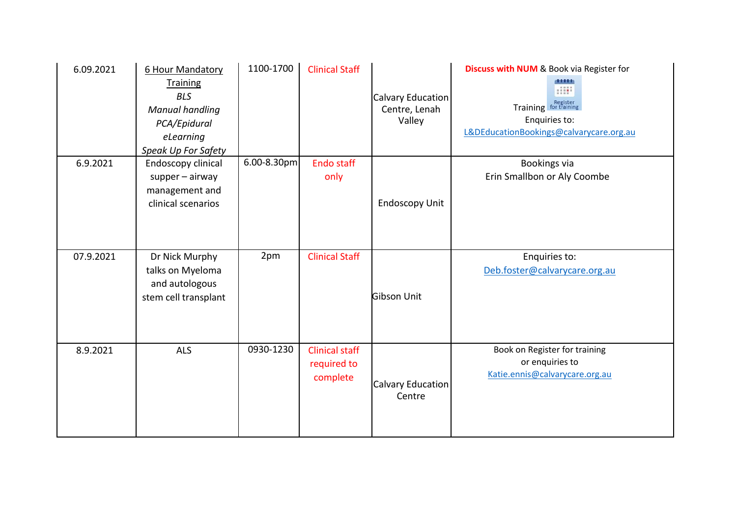| 6.09.2021 | <b>6 Hour Mandatory</b><br><b>Training</b><br><b>BLS</b><br><b>Manual handling</b><br>PCA/Epidural<br>eLearning<br>Speak Up For Safety | 1100-1700        | <b>Clinical Staff</b>                            | Calvary Education<br>Centre, Lenah<br>Valley | <b>Discuss with NUM &amp; Book via Register for</b><br><b>HALL</b><br>Training for training<br>Enquiries to:<br>L&DEducationBookings@calvarycare.org.au |
|-----------|----------------------------------------------------------------------------------------------------------------------------------------|------------------|--------------------------------------------------|----------------------------------------------|---------------------------------------------------------------------------------------------------------------------------------------------------------|
| 6.9.2021  | Endoscopy clinical<br>$supper - airway$<br>management and<br>clinical scenarios                                                        | $6.00 - 8.30$ pm | Endo staff<br>only                               | <b>Endoscopy Unit</b>                        | Bookings via<br>Erin Smallbon or Aly Coombe                                                                                                             |
| 07.9.2021 | Dr Nick Murphy<br>talks on Myeloma<br>and autologous<br>stem cell transplant                                                           | 2pm              | <b>Clinical Staff</b>                            | Gibson Unit                                  | Enquiries to:<br>Deb.foster@calvarycare.org.au                                                                                                          |
| 8.9.2021  | ALS                                                                                                                                    | 0930-1230        | <b>Clinical staff</b><br>required to<br>complete | Calvary Education<br>Centre                  | Book on Register for training<br>or enquiries to<br>Katie.ennis@calvarycare.org.au                                                                      |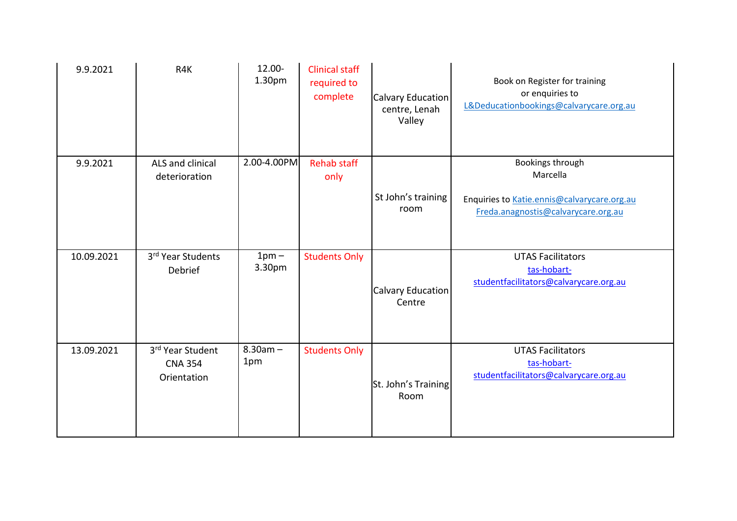| 9.9.2021   | R4K                                               | 12.00-<br>1.30pm  | <b>Clinical staff</b><br>required to<br>complete | Calvary Education<br>centre, Lenah<br>Valley | Book on Register for training<br>or enquiries to<br>L&Deducationbookings@calvarycare.org.au                        |
|------------|---------------------------------------------------|-------------------|--------------------------------------------------|----------------------------------------------|--------------------------------------------------------------------------------------------------------------------|
| 9.9.2021   | ALS and clinical<br>deterioration                 | 2.00-4.00PM       | <b>Rehab staff</b><br>only                       | St John's training<br>room                   | Bookings through<br>Marcella<br>Enquiries to Katie.ennis@calvarycare.org.au<br>Freda.anagnostis@calvarycare.org.au |
| 10.09.2021 | 3rd Year Students<br>Debrief                      | $1pm -$<br>3.30pm | <b>Students Only</b>                             | Calvary Education<br>Centre                  | <b>UTAS Facilitators</b><br>tas-hobart-<br>studentfacilitators@calvarycare.org.au                                  |
| 13.09.2021 | 3rd Year Student<br><b>CNA 354</b><br>Orientation | $8.30am -$<br>1pm | <b>Students Only</b>                             | St. John's Training<br>Room                  | <b>UTAS Facilitators</b><br>tas-hobart-<br>studentfacilitators@calvarycare.org.au                                  |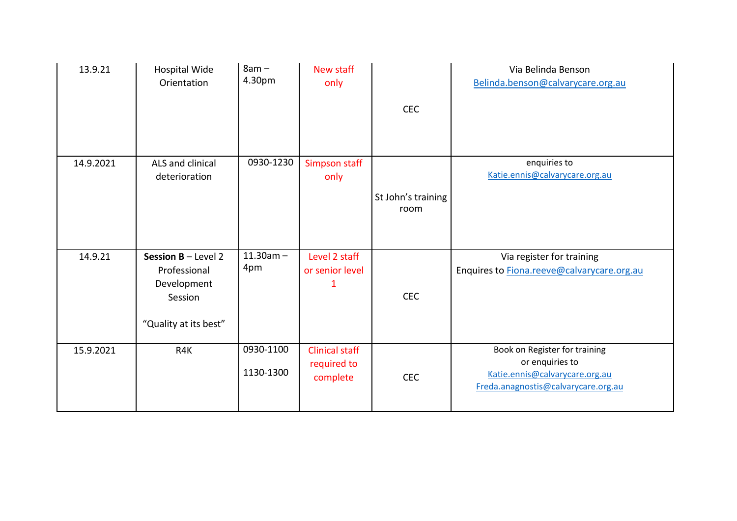| 13.9.21   | <b>Hospital Wide</b><br>Orientation                                                       | $8am -$<br>4.30pm      | New staff<br>only                                | <b>CEC</b>                 | Via Belinda Benson<br>Belinda.benson@calvarycare.org.au                                                                   |
|-----------|-------------------------------------------------------------------------------------------|------------------------|--------------------------------------------------|----------------------------|---------------------------------------------------------------------------------------------------------------------------|
| 14.9.2021 | ALS and clinical<br>deterioration                                                         | 0930-1230              | Simpson staff<br>only                            | St John's training<br>room | enquiries to<br>Katie.ennis@calvarycare.org.au                                                                            |
| 14.9.21   | Session $B - L$ evel 2<br>Professional<br>Development<br>Session<br>"Quality at its best" | $11.30am -$<br>4pm     | Level 2 staff<br>or senior level<br>1            | <b>CEC</b>                 | Via register for training<br>Enquires to Fiona.reeve@calvarycare.org.au                                                   |
| 15.9.2021 | R4K                                                                                       | 0930-1100<br>1130-1300 | <b>Clinical staff</b><br>required to<br>complete | <b>CEC</b>                 | Book on Register for training<br>or enquiries to<br>Katie.ennis@calvarycare.org.au<br>Freda.anagnostis@calvarycare.org.au |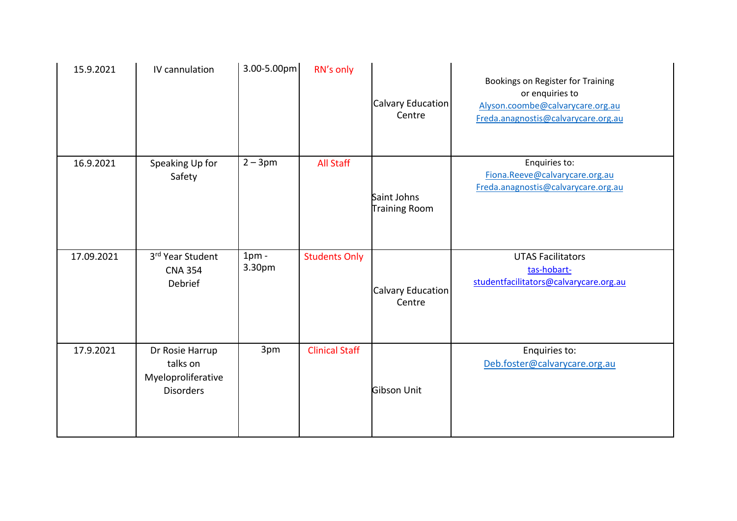| 15.9.2021  | IV cannulation                                                        | 3.00-5.00pm       | RN's only             | Calvary Education<br>Centre         | Bookings on Register for Training<br>or enquiries to<br>Alyson.coombe@calvarycare.org.au<br>Freda.anagnostis@calvarycare.org.au |
|------------|-----------------------------------------------------------------------|-------------------|-----------------------|-------------------------------------|---------------------------------------------------------------------------------------------------------------------------------|
| 16.9.2021  | Speaking Up for<br>Safety                                             | $2 - 3pm$         | <b>All Staff</b>      | Saint Johns<br><b>Training Room</b> | Enquiries to:<br>Fiona.Reeve@calvarycare.org.au<br>Freda.anagnostis@calvarycare.org.au                                          |
| 17.09.2021 | 3rd Year Student<br><b>CNA 354</b><br>Debrief                         | $1pm$ -<br>3.30pm | <b>Students Only</b>  | Calvary Education<br>Centre         | <b>UTAS Facilitators</b><br>tas-hobart-<br>studentfacilitators@calvarycare.org.au                                               |
| 17.9.2021  | Dr Rosie Harrup<br>talks on<br>Myeloproliferative<br><b>Disorders</b> | 3pm               | <b>Clinical Staff</b> | Gibson Unit                         | Enquiries to:<br>Deb.foster@calvarycare.org.au                                                                                  |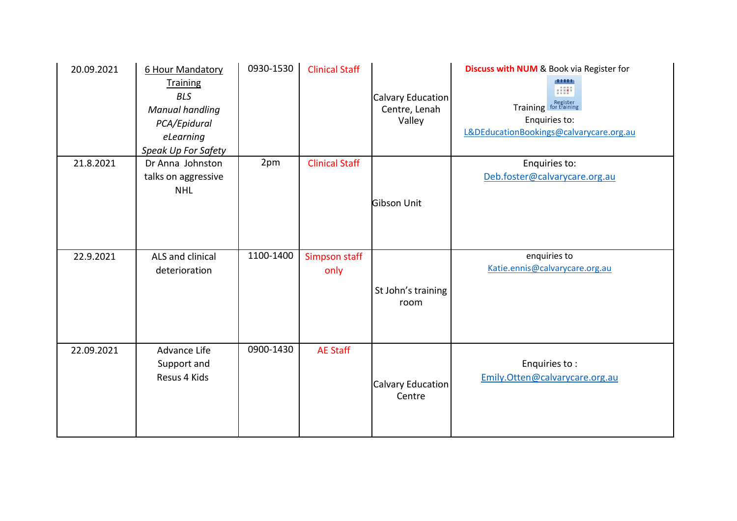| 20.09.2021 | <b>6 Hour Mandatory</b><br><b>Training</b><br><b>BLS</b><br><b>Manual handling</b><br>PCA/Epidural<br>eLearning<br>Speak Up For Safety | 0930-1530 | <b>Clinical Staff</b> | Calvary Education<br>Centre, Lenah<br>Valley | <b>Discuss with NUM &amp; Book via Register for</b><br><b>HALL</b><br>Training for training<br>Enquiries to:<br>L&DEducationBookings@calvarycare.org.au |
|------------|----------------------------------------------------------------------------------------------------------------------------------------|-----------|-----------------------|----------------------------------------------|---------------------------------------------------------------------------------------------------------------------------------------------------------|
| 21.8.2021  | Dr Anna Johnston<br>talks on aggressive<br><b>NHL</b>                                                                                  | 2pm       | <b>Clinical Staff</b> | Gibson Unit                                  | Enquiries to:<br>Deb.foster@calvarycare.org.au                                                                                                          |
| 22.9.2021  | ALS and clinical<br>deterioration                                                                                                      | 1100-1400 | Simpson staff<br>only | St John's training<br>room                   | enquiries to<br>Katie.ennis@calvarycare.org.au                                                                                                          |
| 22.09.2021 | <b>Advance Life</b><br>Support and<br>Resus 4 Kids                                                                                     | 0900-1430 | <b>AE Staff</b>       | Calvary Education<br>Centre                  | Enquiries to:<br>Emily.Otten@calvarycare.org.au                                                                                                         |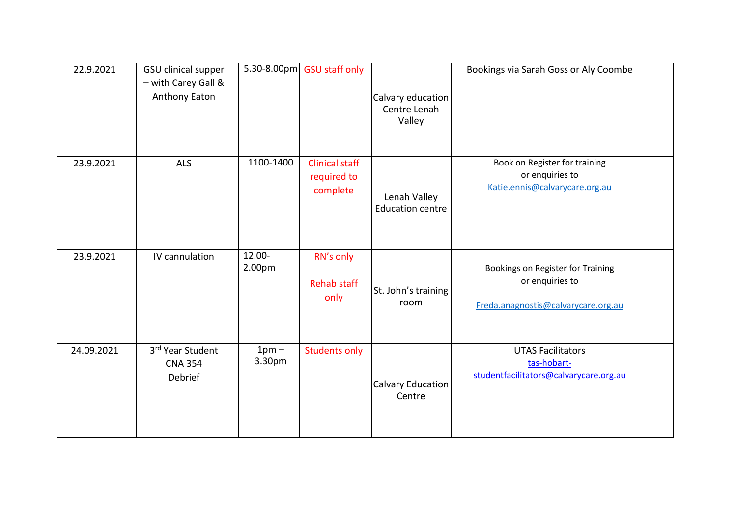| 22.9.2021  | <b>GSU clinical supper</b><br>- with Carey Gall &<br>Anthony Eaton |                   | 5.30-8.00pm GSU staff only                       | Calvary education<br>Centre Lenah<br>Valley | Bookings via Sarah Goss or Aly Coombe                                                       |
|------------|--------------------------------------------------------------------|-------------------|--------------------------------------------------|---------------------------------------------|---------------------------------------------------------------------------------------------|
| 23.9.2021  | ALS                                                                | 1100-1400         | <b>Clinical staff</b><br>required to<br>complete | Lenah Valley<br><b>Education centre</b>     | Book on Register for training<br>or enquiries to<br>Katie.ennis@calvarycare.org.au          |
| 23.9.2021  | IV cannulation                                                     | 12.00-<br>2.00pm  | RN's only<br><b>Rehab staff</b><br>only          | St. John's training<br>room                 | Bookings on Register for Training<br>or enquiries to<br>Freda.anagnostis@calvarycare.org.au |
| 24.09.2021 | 3rd Year Student<br><b>CNA 354</b><br>Debrief                      | $1pm -$<br>3.30pm | <b>Students only</b>                             | Calvary Education<br>Centre                 | <b>UTAS Facilitators</b><br>tas-hobart-<br>studentfacilitators@calvarycare.org.au           |